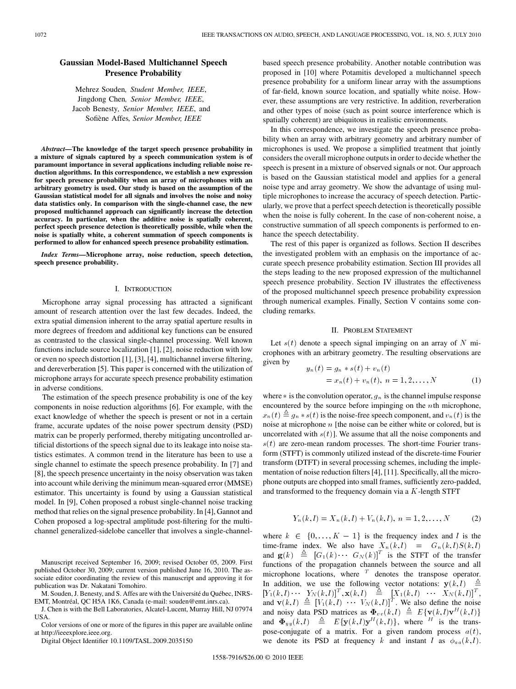# **Gaussian Model-Based Multichannel Speech Presence Probability**

Mehrez Souden*, Student Member, IEEE*, Jingdong Chen*, Senior Member, IEEE*, Jacob Benesty*, Senior Member, IEEE*, and Sofiène Affes*, Senior Member, IEEE*

*Abstract—***The knowledge of the target speech presence probability in a mixture of signals captured by a speech communication system is of paramount importance in several applications including reliable noise reduction algorithms. In this correspondence, we establish a new expression for speech presence probability when an array of microphones with an arbitrary geometry is used. Our study is based on the assumption of the Gaussian statistical model for all signals and involves the noise and noisy data statistics only. In comparison with the single-channel case, the new proposed multichannel approach can significantly increase the detection accuracy. In particular, when the additive noise is spatially coherent, perfect speech presence detection is theoretically possible, while when the noise is spatially white, a coherent summation of speech components is performed to allow for enhanced speech presence probability estimation.**

*Index Terms—***Microphone array, noise reduction, speech detection, speech presence probability.**

## I. INTRODUCTION

Microphone array signal processing has attracted a significant amount of research attention over the last few decades. Indeed, the extra spatial dimension inherent to the array spatial aperture results in more degrees of freedom and additional key functions can be ensured as contrasted to the classical single-channel processing. Well known functions include source localization [1], [2], noise reduction with low or even no speech distortion [1], [3], [4], multichannel inverse filtering, and dereverberation [5]. This paper is concerned with the utilization of microphone arrays for accurate speech presence probability estimation in adverse conditions.

The estimation of the speech presence probability is one of the key components in noise reduction algorithms [6]. For example, with the exact knowledge of whether the speech is present or not in a certain frame, accurate updates of the noise power spectrum density (PSD) matrix can be properly performed, thereby mitigating uncontrolled artificial distortions of the speech signal due to its leakage into noise statistics estimates. A common trend in the literature has been to use a single channel to estimate the speech presence probability. In [7] and [8], the speech presence uncertainty in the noisy observation was taken into account while deriving the minimum mean-squared error (MMSE) estimator. This uncertainty is found by using a Gaussian statistical model. In [9], Cohen proposed a robust single-channel noise tracking method that relies on the signal presence probability. In [4], Gannot and Cohen proposed a log-spectral amplitude post-filtering for the multichannel generalized-sidelobe canceller that involves a single-channel-

Manuscript received September 16, 2009; revised October 05, 2009. First published October 30, 2009; current version published June 16, 2010. The associate editor coordinating the review of this manuscript and approving it for publication was Dr. Nakatani Tomohiro.

M. Souden, J. Benesty, and S. Affes are with the Université du Québec, INRS-EMT, Montréal, QC H5A 1K6, Canada (e-mail: souden@emt.inrs.ca).

J. Chen is with the Bell Laboratories, Alcatel-Lucent, Murray Hill, NJ 07974 USA.

Color versions of one or more of the figures in this paper are available online at http://ieeexplore.ieee.org.

Digital Object Identifier 10.1109/TASL.2009.2035150

based speech presence probability. Another notable contribution was proposed in [10] where Potamitis developed a multichannel speech presence probability for a uniform linear array with the assumptions of far-field, known source location, and spatially white noise. However, these assumptions are very restrictive. In addition, reverberation and other types of noise (such as point source interference which is spatially coherent) are ubiquitous in realistic environments.

In this correspondence, we investigate the speech presence probability when an array with arbitrary geometry and arbitrary number of microphones is used. We propose a simplified treatment that jointly considers the overall microphone outputs in order to decide whether the speech is present in a mixture of observed signals or not. Our approach is based on the Gaussian statistical model and applies for a general noise type and array geometry. We show the advantage of using multiple microphones to increase the accuracy of speech detection. Particularly, we prove that a perfect speech detection is theoretically possible when the noise is fully coherent. In the case of non-coherent noise, a constructive summation of all speech components is performed to enhance the speech detectability.

The rest of this paper is organized as follows. Section II describes the investigated problem with an emphasis on the importance of accurate speech presence probability estimation. Section III provides all the steps leading to the new proposed expression of the multichannel speech presence probability. Section IV illustrates the effectiveness of the proposed multichannel speech presence probability expression through numerical examples. Finally, Section V contains some concluding remarks.

## II. PROBLEM STATEMENT

Let  $s(t)$  denote a speech signal impinging on an array of N microphones with an arbitrary geometry. The resulting observations are given by

$$
y_n(t) = g_n * s(t) + v_n(t)
$$
  
=  $x_n(t) + v_n(t), n = 1, 2, ..., N$  (1)

where  $*$  is the convolution operator,  $g_n$  is the channel impulse response encountered by the source before impinging on the  $n$ th microphone,  $x_n(t) \triangleq g_n * s(t)$  is the noise-free speech component, and  $v_n(t)$  is the noise at microphone  $n$  [the noise can be either white or colored, but is uncorrelated with  $s(t)$ ]. We assume that all the noise components and  $s(t)$  are zero-mean random processes. The short-time Fourier transform (STFT) is commonly utilized instead of the discrete-time Fourier transform (DTFT) in several processing schemes, including the implementation of noise reduction filters [4], [11]. Specifically, all the microphone outputs are chopped into small frames, sufficiently zero-padded, and transformed to the frequency domain via a  $K$ -length STFT

$$
Y_n(k,l) = X_n(k,l) + V_n(k,l), \ n = 1,2,...,N
$$
 (2)

where  $k \in \{0, \ldots, K-1\}$  is the frequency index and l is the time-frame index. We also have  $X_n(k,l) = G_n(k,l)S(k,l)$ and  $\mathbf{g}(k) \triangleq [G_1(k) \cdots G_N(k)]^T$  is the STFT of the transfer functions of the propagation channels between the source and all microphone locations, where  $T$  denotes the transpose operator. In addition, we use the following vector notations:  $\mathbf{y}(k, l) \triangleq [Y_1(k, l) \cdots Y_N(k, l)]^T$ ,  $\mathbf{x}(k, l) \triangleq [X_1(k, l) \cdots X_N(k, l)]^T$ , and  $\mathbf{v}(k,l) \triangleq [V_1(k,l) \cdots V_N(k,l)]^T$ . We also define the noise and noisy data PSD matrices as  $\mathbf{\Phi}_{vv}(k,l) \triangleq E\{\mathbf{v}(k,l)\mathbf{v}^H(k,l)\}\$ and  $\mathbf{\Phi}_{yy}(k,l) \triangleq E\{\mathbf{y}(k,l)\mathbf{y}^H(k,l)\}\text{, where }^H \text{ is the trans-}$ pose-conjugate of a matrix. For a given random process  $a(t)$ , we denote its PSD at frequency k and instant l as  $\phi_{aa}(k,l)$ .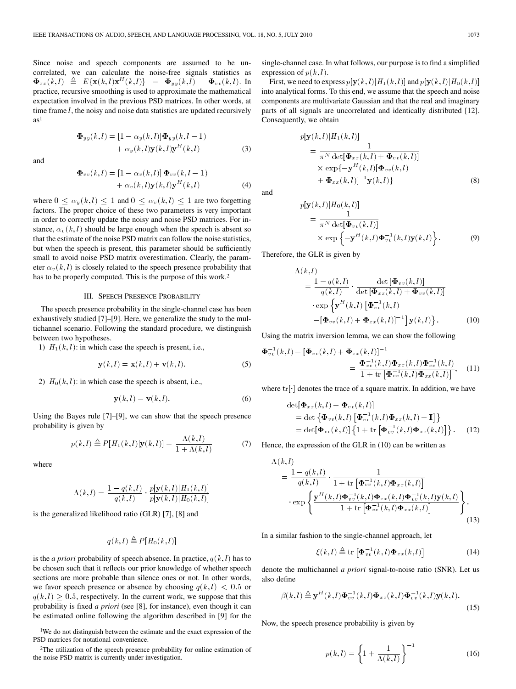Since noise and speech components are assumed to be uncorrelated, we can calculate the noise-free signals statistics as  $\mathbf{\Phi}_{xx}(k,l) \triangleq E\{\mathbf{x}(k,l)\mathbf{x}^H(k,l)\} = \mathbf{\Phi}_{yy}(k,l) - \mathbf{\Phi}_{vv}(k,l).$  In practice, recursive smoothing is used to approximate the mathematical expectation involved in the previous PSD matrices. In other words, at time frame  $l$ , the noisy and noise data statistics are updated recursively  $as<sup>1</sup>$ 

$$
\begin{aligned} \mathbf{\Phi}_{yy}(k,l) &= \left[1 - \alpha_y(k,l)\right] \mathbf{\Phi}_{yy}(k,l-1) \\ &+ \alpha_y(k,l)\mathbf{y}(k,l)\mathbf{y}^H(k,l) \end{aligned} \tag{3}
$$

and

$$
\begin{aligned} \mathbf{\Phi}_{vv}(k,l) &= \left[1 - \alpha_v(k,l)\right] \mathbf{\Phi}_{vv}(k,l-1) \\ &+ \alpha_v(k,l) \mathbf{y}(k,l) \mathbf{y}^H(k,l) \end{aligned} \tag{4}
$$

where  $0 \leq \alpha_y(k,l) \leq 1$  and  $0 \leq \alpha_v(k,l) \leq 1$  are two forgetting factors. The proper choice of these two parameters is very important in order to correctly update the noisy and noise PSD matrices. For instance,  $\alpha_v(k, l)$  should be large enough when the speech is absent so that the estimate of the noise PSD matrix can follow the noise statistics, but when the speech is present, this parameter should be sufficiently small to avoid noise PSD matrix overestimation. Clearly, the parameter  $\alpha_v(k, l)$  is closely related to the speech presence probability that has to be properly computed. This is the purpose of this work.<sup>2</sup>

#### III. SPEECH PRESENCE PROBABILITY

The speech presence probability in the single-channel case has been exhaustively studied [7]–[9]. Here, we generalize the study to the multichannel scenario. Following the standard procedure, we distinguish between two hypotheses.

1)  $H_1(k, l)$ : in which case the speech is present, i.e.,

$$
\mathbf{y}(k,l) = \mathbf{x}(k,l) + \mathbf{v}(k,l). \tag{5}
$$

2)  $H_0(k, l)$ : in which case the speech is absent, i.e.,

$$
\mathbf{y}(k,l) = \mathbf{v}(k,l). \tag{6}
$$

Using the Bayes rule [7]–[9], we can show that the speech presence probability is given by

$$
p(k,l) \triangleq P[H_1(k,l)|\mathbf{y}(k,l)] = \frac{\Lambda(k,l)}{1 + \Lambda(k,l)}\tag{7}
$$

where

$$
\Lambda(k,l) = \frac{1 - q(k,l)}{q(k,l)} \cdot \frac{p[\mathbf{y}(k,l)|H_1(k,l)]}{p[\mathbf{y}(k,l)|H_0(k,l)]}
$$

is the generalized likelihood ratio (GLR) [7], [8] and

$$
q(k, l) \triangleq P[H_0(k, l)]
$$

is the *a priori* probability of speech absence. In practice,  $q(k, l)$  has to be chosen such that it reflects our prior knowledge of whether speech sections are more probable than silence ones or not. In other words, we favor speech presence or absence by choosing  $q(k, l) < 0.5$  or  $q(k, l) \geq 0.5$ , respectively. In the current work, we suppose that this probability is fixed *a priori* (see [8], for instance), even though it can be estimated online following the algorithm described in [9] for the

1We do not distinguish between the estimate and the exact expression of the PSD matrices for notational convenience.

2The utilization of the speech presence probability for online estimation of the noise PSD matrix is currently under investigation.

single-channel case. In what follows, our purpose is to find a simplified expression of  $p(k, l)$ .

First, we need to express  $p[\mathbf{y}(k, l) | H_1(k, l)]$  and  $p[\mathbf{y}(k, l) | H_0(k, l)]$ into analytical forms. To this end, we assume that the speech and noise components are multivariate Gaussian and that the real and imaginary parts of all signals are uncorrelated and identically distributed [12]. Consequently, we obtain

$$
p[\mathbf{y}(k,l)|H_1(k,l)]
$$
  
= 
$$
\frac{1}{\pi^N \det[\mathbf{\Phi}_{xx}(k,l) + \mathbf{\Phi}_{vv}(k,l)]}
$$
  

$$
\times \exp{\{-\mathbf{y}^H(k,l)[\mathbf{\Phi}_{vv}(k,l) + \mathbf{\Phi}_{xx}(k,l)]\}} \tag{8}
$$

and

$$
\begin{aligned} \left[\mathbf{y}(k,l)|H_0(k,l)\right] \\ &= \frac{1}{\pi^N \det[\mathbf{\Phi}_{vv}(k,l)]} \\ &\times \exp\left\{-\mathbf{y}^H(k,l)\mathbf{\Phi}_{vv}^{-1}(k,l)\mathbf{y}(k,l)\right\}. \end{aligned} \tag{9}
$$

Therefore, the GLR is given by

 $\boldsymbol{p}$ 

$$
\Lambda(k,l)
$$
\n
$$
= \frac{1 - q(k,l)}{q(k,l)} \cdot \frac{\det\left[\mathbf{\Phi}_{vv}(k,l)\right]}{\det\left[\mathbf{\Phi}_{xx}(k,l) + \mathbf{\Phi}_{vv}(k,l)\right]}
$$
\n
$$
\cdot \exp\left\{\mathbf{y}^H(k,l)\left[\mathbf{\Phi}_{vv}^{-1}(k,l) - \left[\mathbf{\Phi}_{vv}(k,l) + \mathbf{\Phi}_{xx}(k,l)\right]^{-1}\right]\mathbf{y}(k,l)\right\}.
$$
\n(10)

Using the matrix inversion lemma, we can show the following

Using the matrix inversion lemma, we can show the following  
\n
$$
\Phi_{vv}^{-1}(k,l) - [\Phi_{vv}(k,l) + \Phi_{xx}(k,l)]^{-1}
$$
\n
$$
= \frac{\Phi_{vv}^{-1}(k,l)\Phi_{xx}(k,l)\Phi_{vv}^{-1}(k,l)}{1 + \text{tr}[\Phi_{vv}^{-1}(k,l)\Phi_{xx}(k,l)]}, \quad (11)
$$

where tr[·] denotes the trace of a square matrix. In addition, we have  
\n
$$
\det[\Phi_{xx}(k,l) + \Phi_{vv}(k,l)]
$$
\n
$$
= \det \left\{ \Phi_{vv}(k,l) \left[ \Phi_{vv}^{-1}(k,l) \Phi_{xx}(k,l) + \mathbf{I} \right] \right\}
$$
\n
$$
= \det[\Phi_{vv}(k,l)] \left\{ 1 + \text{tr} \left[ \Phi_{vv}^{-1}(k,l) \Phi_{xx}(k,l) \right] \right\}. \tag{12}
$$

Hence, the expression of the GLR in (10) can be written as

$$
\Lambda(k,l) = \frac{1 - q(k,l)}{q(k,l)} \cdot \frac{1}{1 + \text{tr} \left[ \mathbf{\Phi}_{vv}^{-1}(k,l) \mathbf{\Phi}_{xx}(k,l) \right]} \n\cdot \exp \left\{ \frac{\mathbf{y}^{H}(k,l) \mathbf{\Phi}_{vv}^{-1}(k,l) \mathbf{\Phi}_{xx}(k,l) \mathbf{\Phi}_{vv}^{-1}(k,l) \mathbf{y}(k,l)}{1 + \text{tr} \left[ \mathbf{\Phi}_{vv}^{-1}(k,l) \mathbf{\Phi}_{xx}(k,l) \right]} \right\}.
$$
\n(13)

In a similar fashion to the single-channel approach, let<br>  $\xi(k, l) \triangleq \text{tr} [\Phi_{vv}^{-1}(k, l) \Phi_{xx}(k, l)]$ 

$$
\xi(k,l) \stackrel{\Delta}{=} \text{tr}\left[\mathbf{\Phi}_{vv}^{-1}(k,l)\mathbf{\Phi}_{xx}(k,l)\right]
$$
 (14)

denote the multichannel *a priori* signal-to-noise ratio (SNR). Let us<br>
also define<br>  $\beta(k,l) \triangleq \mathbf{y}^H(k,l)\mathbf{\Phi}_{vv}^{-1}(k,l)\mathbf{\Phi}_{xx}(k,l)\mathbf{\Phi}_{vv}^{-1}(k,l)\mathbf{y}(k,l)$ . also define

$$
\beta(k,l) \stackrel{\Delta}{=} \mathbf{y}^H(k,l)\boldsymbol{\Phi}_{vv}^{-1}(k,l)\boldsymbol{\Phi}_{xx}(k,l)\boldsymbol{\Phi}_{vv}^{-1}(k,l)\mathbf{y}(k,l). \tag{15}
$$

Now, the speech presence probability is given by<br> $\left(1 - \frac{1}{2}\right)^{-1}$ 

$$
p(k,l) = \left\{1 + \frac{1}{\Lambda(k,l)}\right\}^{-1}
$$
 (16)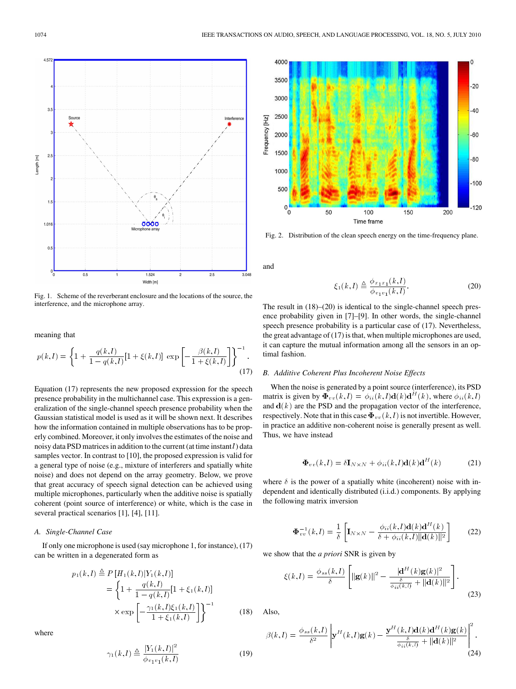

Fig. 1. Scheme of the reverberant enclosure and the locations of the source, the interference, and the microphone array.

meaning that

meaning that  
\n
$$
p(k,l) = \left\{ 1 + \frac{q(k,l)}{1 - q(k,l)} [1 + \xi(k,l)] \exp\left[ -\frac{\beta(k,l)}{1 + \xi(k,l)} \right] \right\}^{-1}.
$$
\n(17)

Equation (17) represents the new proposed expression for the speech presence probability in the multichannel case. This expression is a generalization of the single-channel speech presence probability when the Gaussian statistical model is used as it will be shown next. It describes how the information contained in multiple observations has to be properly combined. Moreover, it only involves the estimates of the noise and noisy data PSD matrices in addition to the current (at time instant  $l$ ) data samples vector. In contrast to [10], the proposed expression is valid for a general type of noise (e.g., mixture of interferers and spatially white noise) and does not depend on the array geometry. Below, we prove that great accuracy of speech signal detection can be achieved using multiple microphones, particularly when the additive noise is spatially coherent (point source of interference) or white, which is the case in several practical scenarios [1], [4], [11].

## *A. Single-Channel Case*

If only one microphone is used (say microphone 1, for instance), (17) can be written in a degenerated form as

$$
p_1(k,l) \stackrel{\Delta}{=} P[H_1(k,l)|Y_1(k,l)]
$$
  
= 
$$
\left\{1 + \frac{q(k,l)}{1 - q(k,l)}[1 + \xi_1(k,l)]\right\}
$$
  

$$
\times \exp\left[-\frac{\gamma_1(k,l)\xi_1(k,l)}{1 + \xi_1(k,l)}\right]\right\}^{-1}
$$
 (18)

where

$$
\gamma_1(k,l) \triangleq \frac{|Y_1(k,l)|^2}{\phi_{\nu_1\nu_1}(k,l)}\tag{19}
$$



Fig. 2. Distribution of the clean speech energy on the time-frequency plane.

and

$$
\xi_1(k,l) \triangleq \frac{\phi_{x_1x_1}(k,l)}{\phi_{v_1v_1}(k,l)}.\tag{20}
$$

The result in (18)–(20) is identical to the single-channel speech presence probability given in [7]–[9]. In other words, the single-channel speech presence probability is a particular case of (17). Nevertheless, the great advantage of (17) is that, when multiple microphones are used, it can capture the mutual information among all the sensors in an optimal fashion.

## *B. Additive Coherent Plus Incoherent Noise Effects*

When the noise is generated by a point source (interference), its PSD matrix is given by  $\mathbf{\Phi}_{vv}(k,l) = \phi_{ii}(k,l) \mathbf{d}(k) \mathbf{d}^H(k)$ , where  $\phi_{ii}(k,l)$ and  $\mathbf{d}(k)$  are the PSD and the propagation vector of the interference, respectively. Note that in this case  $\pmb{\Phi}_{vv}(k,l)$  is not invertible. However, in practice an additive non-coherent noise is generally present as well. Thus, we have instead

$$
\mathbf{\Phi}_{vv}(k,l) = \delta \mathbf{I}_{N \times N} + \phi_{ii}(k,l)\mathbf{d}(k)\mathbf{d}^H(k)
$$
 (21)

where  $\delta$  is the power of a spatially white (incoherent) noise with independent and identically distributed (i.i.d.) components. By applying the following matrix inversion

$$
\Phi_{vv}^{-1}(k,l) = \frac{1}{\delta} \left[ \mathbf{I}_{N \times N} - \frac{\phi_{ii}(k,l) \mathbf{d}(k) \mathbf{d}^H(k)}{\delta + \phi_{ii}(k,l) ||\mathbf{d}(k)||^2} \right]
$$
(22)

we show that the *a priori* SNR is given by

$$
\xi(k,l) = \frac{\phi_{ss}(k,l)}{\delta} \left[ \|\mathbf{g}(k)\|^2 - \frac{|\mathbf{d}^H(k)\mathbf{g}(k)|^2}{\frac{\delta}{\phi_{ii}(k,l)} + \|\mathbf{d}(k)\|^2} \right].
$$
\n(23)

Also,

$$
\beta(k,l) = \frac{\phi_{ss}(k,l)}{\delta^2} \left| \mathbf{y}^H(k,l) \mathbf{g}(k) - \frac{\mathbf{y}^H(k,l) \mathbf{d}(k) \mathbf{d}^H(k) \mathbf{g}(k)}{\frac{\delta}{\phi_{ii}(k,l)} + ||\mathbf{d}(k)||^2} \right|^2.
$$
\n(24)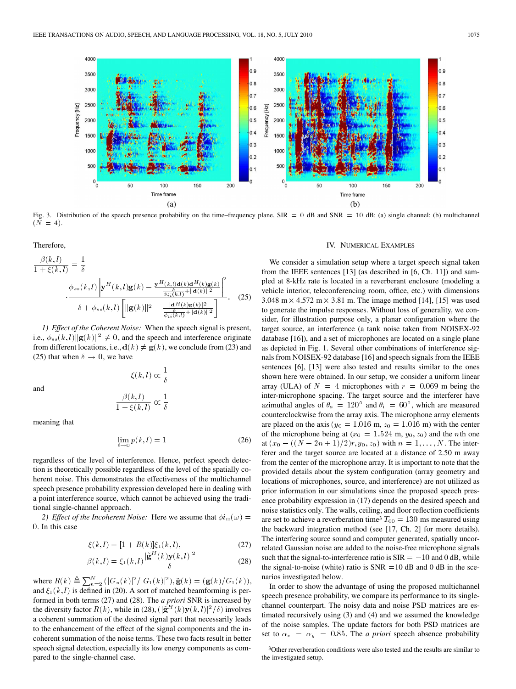

Fig. 3. Distribution of the speech presence probability on the time–frequency plane,  $SIR = 0$  dB and  $SNR = 10$  dB: (a) single channel; (b) multichannel  $(N = 4)$ .

Therefore,

$$
\frac{\beta(k,l)}{1 + \xi(k,l)} = \frac{1}{\delta}
$$
\n
$$
\phi_{ss}(k,l) \left| \mathbf{y}^{H}(k,l) \mathbf{g}(k) - \frac{\mathbf{y}^{H}(k,l) \mathbf{d}(k) \mathbf{d}^{H}(k) \mathbf{g}(k)}{\frac{\delta}{\phi_{ii}(k,l)} + ||\mathbf{d}(k)||^{2}} \right|^{2}
$$
\n
$$
\delta + \phi_{ss}(k,l) \left[ ||\mathbf{g}(k)||^{2} - \frac{|\mathbf{d}^{H}(k) \mathbf{g}(k)|^{2}}{\frac{|\mathbf{d}^{H}(k) \mathbf{g}(k)||^{2}}{\phi_{ii}(k,l)} + ||\mathbf{d}(k)||^{2}} \right] \tag{25}
$$

*1) Effect of the Coherent Noise:* When the speech signal is present, i.e.,  $\phi_{ss}(k,l) ||\mathbf{g}(k)||^2 \neq 0$ , and the speech and interference originate from different locations, i.e.,  $\mathbf{d}(k) \neq \mathbf{g}(k)$ , we conclude from (23) and (25) that when  $\delta \rightarrow 0$ , we have

and

$$
\xi(k,l) \propto \frac{1}{\delta}
$$

$$
\frac{\beta(k,l)}{1 + \xi(k,l)} \propto \frac{1}{\delta}
$$

meaning that

$$
\lim_{\delta \to 0} p(k, l) = 1 \tag{26}
$$

regardless of the level of interference. Hence, perfect speech detection is theoretically possible regardless of the level of the spatially coherent noise. This demonstrates the effectiveness of the multichannel speech presence probability expression developed here in dealing with a point interference source, which cannot be achieved using the traditional single-channel approach.

2) *Effect of the Incoherent Noise:* Here we assume that  $\phi i_{ii}(\omega) =$ . In this case

$$
\xi(k,l) = [1 + R(k)]\xi_1(k,l),\tag{27}
$$

$$
\beta(k,l) = \xi_1(k,l) \frac{|\tilde{\mathbf{g}}^H(k)\mathbf{y}(k,l)|^2}{\delta} \tag{28}
$$

where  $R(k) \triangleq \sum_{n=2}^{N} (|G_n(k)|^2 / |G_1(k)|^2)$ ,  $\tilde{\mathbf{g}}(k) = (\mathbf{g}(k) / G_1(k))$ , and  $\xi_1(k, l)$  is defined in (20). A sort of matched beamforming is performed in both terms (27) and (28). The *a priori* SNR is increased by the diversity factor  $R(k)$ , while in (28),  $(|\tilde{\mathbf{g}}^H(k)\mathbf{y}(k, l)|^2/\delta)$  involves a coherent summation of the desired signal part that necessarily leads to the enhancement of the effect of the signal components and the incoherent summation of the noise terms. These two facts result in better speech signal detection, especially its low energy components as compared to the single-channel case.

## IV. NUMERICAL EXAMPLES

We consider a simulation setup where a target speech signal taken from the IEEE sentences [13] (as described in [6, Ch. 11]) and sampled at 8-kHz rate is located in a reverberant enclosure (modeling a vehicle interior, teleconferencing room, office, etc.) with dimensions 3.048 m  $\times$  4.572 m  $\times$  3.81 m. The image method [14], [15] was used to generate the impulse responses. Without loss of generality, we consider, for illustration purpose only, a planar configuration where the target source, an interference (a tank noise taken from NOISEX-92 database [16]), and a set of microphones are located on a single plane as depicted in Fig. 1. Several other combinations of interference signals from NOISEX-92 database [16] and speech signals from the IEEE sentences [6], [13] were also tested and results similar to the ones shown here were obtained. In our setup, we consider a uniform linear array (ULA) of  $N = 4$  microphones with  $r = 0.069$  m being the inter-microphone spacing. The target source and the interferer have azimuthal angles of  $\theta_s = 120^\circ$  and  $\theta_i = 60^\circ$ , which are measured counterclockwise from the array axis. The microphone array elements are placed on the axis ( $y_0 = 1.016$  m,  $z_0 = 1.016$  m) with the center of the microphone being at  $(x_0 = 1.524 \text{ m}, y_0, z_0)$  and the *n*th one at  $(x_0 - ((N - 2n + 1)/2)r, y_0, z_0)$  with  $n = 1, ..., N$ . The interferer and the target source are located at a distance of 2.50 m away from the center of the microphone array. It is important to note that the provided details about the system configuration (array geometry and locations of microphones, source, and interference) are not utilized as prior information in our simulations since the proposed speech presence probability expression in (17) depends on the desired speech and noise statistics only. The walls, ceiling, and floor reflection coefficients are set to achieve a reverberation time<sup>3</sup>  $T_{60} = 130$  ms measured using the backward integration method (see [17, Ch. 2] for more details). The interfering source sound and computer generated, spatially uncorrelated Gaussian noise are added to the noise-free microphone signals such that the signal-to-interference ratio is  $SIR = -10$  and 0 dB, while the signal-to-noise (white) ratio is  $SNR = 10$  dB and 0 dB in the scenarios investigated below.

In order to show the advantage of using the proposed multichannel speech presence probability, we compare its performance to its singlechannel counterpart. The noisy data and noise PSD matrices are estimated recursively using (3) and (4) and we assumed the knowledge of the noise samples. The update factors for both PSD matrices are set to  $\alpha_v = \alpha_y = 0.85$ . The *a priori* speech absence probability

<sup>3</sup>Other reverberation conditions were also tested and the results are similar to the investigated setup.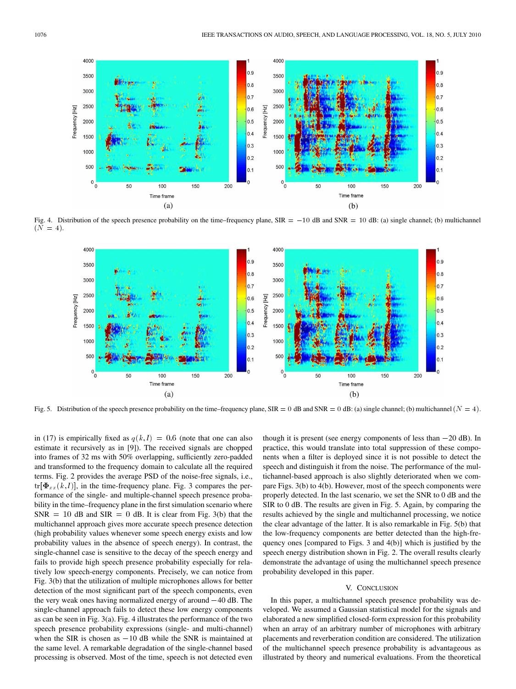

 $(N = 4)$ .



Fig. 5. Distribution of the speech presence probability on the time–frequency plane, SIR = 0 dB and SNR = 0 dB: (a) single channel; (b) multichannel  $(N = 4)$ .<br>in (17) is empirically fixed as  $q(k, l) = 0.6$  (note that one can

in (17) is empirically fixed as  $q(k, l) = 0.6$  (note that one can also estimate it recursively as in [9]). The received signals are chopped into frames of 32 ms with 50% overlapping, sufficiently zero-padded and transformed to the frequency domain to calculate all the required terms. Fig. 2 provides the average PSD of the noise-free signals, i.e.,  $\mathrm{tr}[\mathbf{\Phi}_{xx}(k,l)]$ , in the time-frequency plane. Fig. 3 compares the performance of the single- and multiple-channel speech presence probability in the time–frequency plane in the first simulation scenario where  $SNR = 10$  dB and  $SIR = 0$  dB. It is clear from Fig. 3(b) that the multichannel approach gives more accurate speech presence detection (high probability values whenever some speech energy exists and low probability values in the absence of speech energy). In contrast, the single-channel case is sensitive to the decay of the speech energy and fails to provide high speech presence probability especially for relatively low speech-energy components. Precisely, we can notice from Fig. 3(b) that the utilization of multiple microphones allows for better detection of the most significant part of the speech components, even tively low speech-energy components. Precisely, we can notice from<br>Fig. 3(b) that the utilization of multiple microphones allows for better<br>detection of the most significant part of the speech components, even<br>the very wea single-channel approach fails to detect these low energy components as can be seen in Fig. 3(a). Fig. 4 illustrates the performance of the two speech presence probability expressions (single- and multi-channel) the very weak ones having normalized energy of around  $-40$  dB. The single-channel approach fails to detect these low energy components as can be seen in Fig. 3(a). Fig. 4 illustrates the performance of the two speech pre the same level. A remarkable degradation of the single-channel based processing is observed. Most of the time, speech is not detected even practice, this would translate into total suppression of these components when a filter is deployed since it is not possible to detect the speech and distinguish it from the noise. The performance of the multichannel-based approach is also slightly deteriorated when we compare Figs. 3(b) to 4(b). However, most of the speech components were properly detected. In the last scenario, we set the SNR to 0 dB and the SIR to 0 dB. The results are given in Fig. 5. Again, by comparing the results achieved by the single and multichannel processing, we notice the clear advantage of the latter. It is also remarkable in Fig. 5(b) that the low-frequency components are better detected than the high-frequency ones [compared to Figs. 3 and 4(b)] which is justified by the speech energy distribution shown in Fig. 2. The overall results clearly demonstrate the advantage of using the multichannel speech presence probability developed in this paper.

## V. CONCLUSION

In this paper, a multichannel speech presence probability was developed. We assumed a Gaussian statistical model for the signals and elaborated a new simplified closed-form expression for this probability when an array of an arbitrary number of microphones with arbitrary placements and reverberation condition are considered. The utilization of the multichannel speech presence probability is advantageous as illustrated by theory and numerical evaluations. From the theoretical